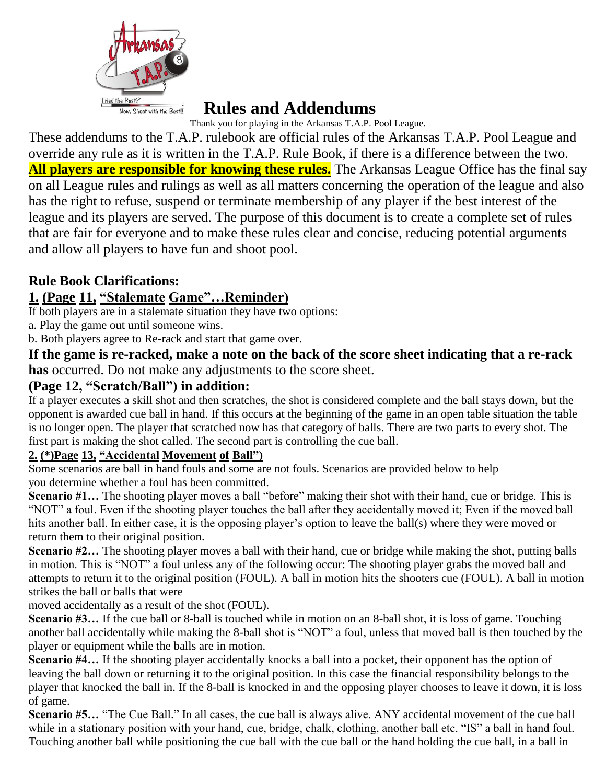

# **Rules and Addendums**

Thank you for playing in the Arkansas T.A.P. Pool League.

These addendums to the T.A.P. rulebook are official rules of the Arkansas T.A.P. Pool League and override any rule as it is written in the T.A.P. Rule Book, if there is a difference between the two. **All players are responsible for knowing these rules.** The Arkansas League Office has the final say on all League rules and rulings as well as all matters concerning the operation of the league and also has the right to refuse, suspend or terminate membership of any player if the best interest of the league and its players are served. The purpose of this document is to create a complete set of rules that are fair for everyone and to make these rules clear and concise, reducing potential arguments and allow all players to have fun and shoot pool.

## **Rule Book Clarifications:**

## **1. (Page 11, "Stalemate Game"…Reminder)**

If both players are in a stalemate situation they have two options:

a. Play the game out until someone wins.

b. Both players agree to Re-rack and start that game over.

**If the game is re-racked, make a note on the back of the score sheet indicating that a re-rack has** occurred. Do not make any adjustments to the score sheet.

#### **(Page 12, "Scratch/Ball") in addition:**

If a player executes a skill shot and then scratches, the shot is considered complete and the ball stays down, but the opponent is awarded cue ball in hand. If this occurs at the beginning of the game in an open table situation the table is no longer open. The player that scratched now has that category of balls. There are two parts to every shot. The first part is making the shot called. The second part is controlling the cue ball.

#### **2. (\*)Page 13, "Accidental Movement of Ball")**

Some scenarios are ball in hand fouls and some are not fouls. Scenarios are provided below to help you determine whether a foul has been committed.

**Scenario #1...** The shooting player moves a ball "before" making their shot with their hand, cue or bridge. This is "NOT" a foul. Even if the shooting player touches the ball after they accidentally moved it; Even if the moved ball hits another ball. In either case, it is the opposing player's option to leave the ball(s) where they were moved or return them to their original position.

**Scenario #2...** The shooting player moves a ball with their hand, cue or bridge while making the shot, putting balls in motion. This is "NOT" a foul unless any of the following occur: The shooting player grabs the moved ball and attempts to return it to the original position (FOUL). A ball in motion hits the shooters cue (FOUL). A ball in motion strikes the ball or balls that were

moved accidentally as a result of the shot (FOUL).

**Scenario #3...** If the cue ball or 8-ball is touched while in motion on an 8-ball shot, it is loss of game. Touching another ball accidentally while making the 8-ball shot is "NOT" a foul, unless that moved ball is then touched by the player or equipment while the balls are in motion.

**Scenario #4...** If the shooting player accidentally knocks a ball into a pocket, their opponent has the option of leaving the ball down or returning it to the original position. In this case the financial responsibility belongs to the player that knocked the ball in. If the 8-ball is knocked in and the opposing player chooses to leave it down, it is loss of game.

**Scenario #5…** "The Cue Ball." In all cases, the cue ball is always alive. ANY accidental movement of the cue ball while in a stationary position with your hand, cue, bridge, chalk, clothing, another ball etc. "IS" a ball in hand foul. Touching another ball while positioning the cue ball with the cue ball or the hand holding the cue ball, in a ball in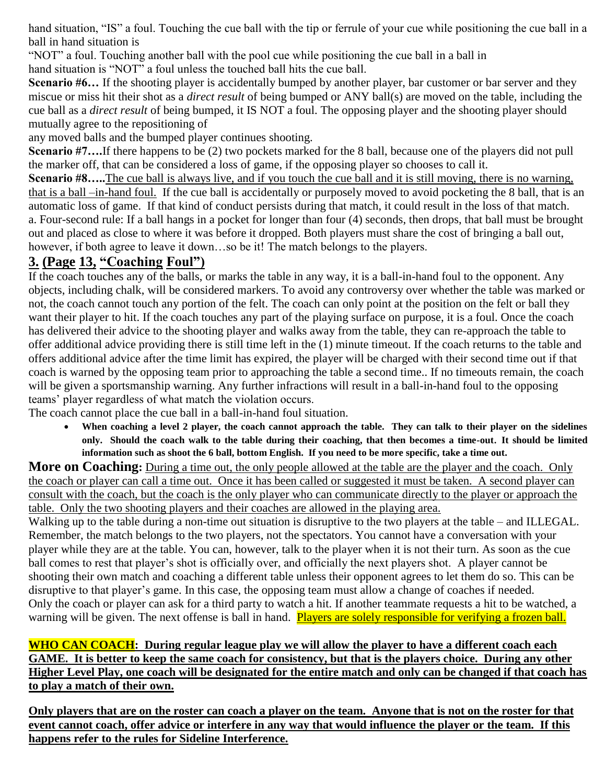hand situation, "IS" a foul. Touching the cue ball with the tip or ferrule of your cue while positioning the cue ball in a ball in hand situation is

"NOT" a foul. Touching another ball with the pool cue while positioning the cue ball in a ball in hand situation is "NOT" a foul unless the touched ball hits the cue ball.

**Scenario #6...** If the shooting player is accidentally bumped by another player, bar customer or bar server and they miscue or miss hit their shot as a *direct result* of being bumped or ANY ball(s) are moved on the table, including the cue ball as a *direct result* of being bumped, it IS NOT a foul. The opposing player and the shooting player should mutually agree to the repositioning of

any moved balls and the bumped player continues shooting.

**Scenario #7....**If there happens to be (2) two pockets marked for the 8 ball, because one of the players did not pull the marker off, that can be considered a loss of game, if the opposing player so chooses to call it.

**Scenario #8.....**The cue ball is always live, and if you touch the cue ball and it is still moving, there is no warning, that is a ball –in-hand foul. If the cue ball is accidentally or purposely moved to avoid pocketing the 8 ball, that is an automatic loss of game. If that kind of conduct persists during that match, it could result in the loss of that match. a. Four-second rule: If a ball hangs in a pocket for longer than four (4) seconds, then drops, that ball must be brought out and placed as close to where it was before it dropped. Both players must share the cost of bringing a ball out, however, if both agree to leave it down...so be it! The match belongs to the players.

## **3. (Page 13, "Coaching Foul")**

If the coach touches any of the balls, or marks the table in any way, it is a ball-in-hand foul to the opponent. Any objects, including chalk, will be considered markers. To avoid any controversy over whether the table was marked or not, the coach cannot touch any portion of the felt. The coach can only point at the position on the felt or ball they want their player to hit. If the coach touches any part of the playing surface on purpose, it is a foul. Once the coach has delivered their advice to the shooting player and walks away from the table, they can re-approach the table to offer additional advice providing there is still time left in the (1) minute timeout. If the coach returns to the table and offers additional advice after the time limit has expired, the player will be charged with their second time out if that coach is warned by the opposing team prior to approaching the table a second time.. If no timeouts remain, the coach will be given a sportsmanship warning. Any further infractions will result in a ball-in-hand foul to the opposing teams' player regardless of what match the violation occurs.

The coach cannot place the cue ball in a ball-in-hand foul situation.

 **When coaching a level 2 player, the coach cannot approach the table. They can talk to their player on the sidelines only. Should the coach walk to the table during their coaching, that then becomes a time-out**. **It should be limited information such as shoot the 6 ball, bottom English. If you need to be more specific, take a time out.**

**More on Coaching:** During a time out, the only people allowed at the table are the player and the coach. Only the coach or player can call a time out. Once it has been called or suggested it must be taken. A second player can consult with the coach, but the coach is the only player who can communicate directly to the player or approach the table. Only the two shooting players and their coaches are allowed in the playing area.

Walking up to the table during a non-time out situation is disruptive to the two players at the table – and ILLEGAL. Remember, the match belongs to the two players, not the spectators. You cannot have a conversation with your player while they are at the table. You can, however, talk to the player when it is not their turn. As soon as the cue ball comes to rest that player's shot is officially over, and officially the next players shot. A player cannot be shooting their own match and coaching a different table unless their opponent agrees to let them do so. This can be disruptive to that player's game. In this case, the opposing team must allow a change of coaches if needed. Only the coach or player can ask for a third party to watch a hit. If another teammate requests a hit to be watched, a warning will be given. The next offense is ball in hand. Players are solely responsible for verifying a frozen ball.

#### **WHO CAN COACH: During regular league play we will allow the player to have a different coach each GAME. It is better to keep the same coach for consistency, but that is the players choice. During any other Higher Level Play, one coach will be designated for the entire match and only can be changed if that coach has to play a match of their own.**

**Only players that are on the roster can coach a player on the team. Anyone that is not on the roster for that event cannot coach, offer advice or interfere in any way that would influence the player or the team. If this happens refer to the rules for Sideline Interference.**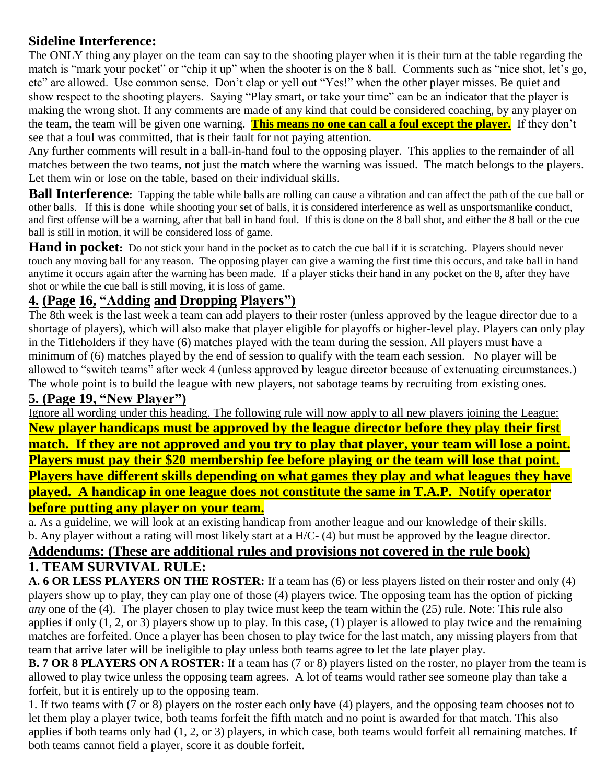#### **Sideline Interference:**

The ONLY thing any player on the team can say to the shooting player when it is their turn at the table regarding the match is "mark your pocket" or "chip it up" when the shooter is on the 8 ball. Comments such as "nice shot, let's go, etc" are allowed. Use common sense. Don't clap or yell out "Yes!" when the other player misses. Be quiet and show respect to the shooting players. Saying "Play smart, or take your time" can be an indicator that the player is making the wrong shot. If any comments are made of any kind that could be considered coaching, by any player on the team, the team will be given one warning. **This means no one can call a foul except the player.** If they don't see that a foul was committed, that is their fault for not paying attention.

Any further comments will result in a ball-in-hand foul to the opposing player. This applies to the remainder of all matches between the two teams, not just the match where the warning was issued. The match belongs to the players. Let them win or lose on the table, based on their individual skills.

**Ball Interference:** Tapping the table while balls are rolling can cause a vibration and can affect the path of the cue ball or other balls. If this is done while shooting your set of balls, it is considered interference as well as unsportsmanlike conduct, and first offense will be a warning, after that ball in hand foul. If this is done on the 8 ball shot, and either the 8 ball or the cue ball is still in motion, it will be considered loss of game.

**Hand in pocket:** Do not stick your hand in the pocket as to catch the cue ball if it is scratching. Players should never touch any moving ball for any reason. The opposing player can give a warning the first time this occurs, and take ball in hand anytime it occurs again after the warning has been made. If a player sticks their hand in any pocket on the 8, after they have shot or while the cue ball is still moving, it is loss of game.

## **4. (Page 16, "Adding and Dropping Players")**

The 8th week is the last week a team can add players to their roster (unless approved by the league director due to a shortage of players), which will also make that player eligible for playoffs or higher-level play. Players can only play in the Titleholders if they have (6) matches played with the team during the session. All players must have a minimum of (6) matches played by the end of session to qualify with the team each session. No player will be allowed to "switch teams" after week 4 (unless approved by league director because of extenuating circumstances.) The whole point is to build the league with new players, not sabotage teams by recruiting from existing ones.

#### **5. (Page 19, "New Player")**

Ignore all wording under this heading. The following rule will now apply to all new players joining the League: **New player handicaps must be approved by the league director before they play their first match. If they are not approved and you try to play that player, your team will lose a point. Players must pay their \$20 membership fee before playing or the team will lose that point. Players have different skills depending on what games they play and what leagues they have played. A handicap in one league does not constitute the same in T.A.P. Notify operator before putting any player on your team.**

a. As a guideline, we will look at an existing handicap from another league and our knowledge of their skills. b. Any player without a rating will most likely start at a H/C- (4) but must be approved by the league director. **Addendums: (These are additional rules and provisions not covered in the rule book)**

#### **1. TEAM SURVIVAL RULE:**

**A. 6 OR LESS PLAYERS ON THE ROSTER:** If a team has (6) or less players listed on their roster and only (4) players show up to play, they can play one of those (4) players twice. The opposing team has the option of picking *any* one of the (4). The player chosen to play twice must keep the team within the (25) rule. Note: This rule also applies if only (1, 2, or 3) players show up to play. In this case, (1) player is allowed to play twice and the remaining matches are forfeited. Once a player has been chosen to play twice for the last match, any missing players from that team that arrive later will be ineligible to play unless both teams agree to let the late player play.

**B. 7 OR 8 PLAYERS ON A ROSTER:** If a team has (7 or 8) players listed on the roster, no player from the team is allowed to play twice unless the opposing team agrees. A lot of teams would rather see someone play than take a forfeit, but it is entirely up to the opposing team.

1. If two teams with (7 or 8) players on the roster each only have (4) players, and the opposing team chooses not to let them play a player twice, both teams forfeit the fifth match and no point is awarded for that match. This also applies if both teams only had (1, 2, or 3) players, in which case, both teams would forfeit all remaining matches. If both teams cannot field a player, score it as double forfeit.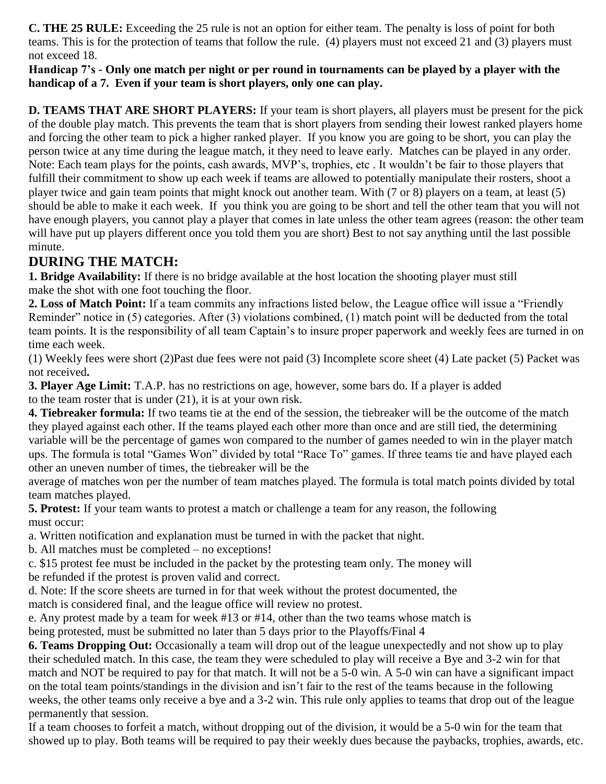**C. THE 25 RULE:** Exceeding the 25 rule is not an option for either team. The penalty is loss of point for both teams. This is for the protection of teams that follow the rule. (4) players must not exceed 21 and (3) players must not exceed 18.

**Handicap 7's - Only one match per night or per round in tournaments can be played by a player with the handicap of a 7. Even if your team is short players, only one can play.**

**D. TEAMS THAT ARE SHORT PLAYERS:** If your team is short players, all players must be present for the pick of the double play match. This prevents the team that is short players from sending their lowest ranked players home and forcing the other team to pick a higher ranked player. If you know you are going to be short, you can play the person twice at any time during the league match, it they need to leave early. Matches can be played in any order. Note: Each team plays for the points, cash awards, MVP's, trophies, etc . It wouldn't be fair to those players that fulfill their commitment to show up each week if teams are allowed to potentially manipulate their rosters, shoot a player twice and gain team points that might knock out another team. With (7 or 8) players on a team, at least (5) should be able to make it each week. If you think you are going to be short and tell the other team that you will not have enough players, you cannot play a player that comes in late unless the other team agrees (reason: the other team will have put up players different once you told them you are short) Best to not say anything until the last possible minute.

## **DURING THE MATCH:**

**1. Bridge Availability:** If there is no bridge available at the host location the shooting player must still make the shot with one foot touching the floor.

**2. Loss of Match Point:** If a team commits any infractions listed below, the League office will issue a "Friendly Reminder" notice in (5) categories. After (3) violations combined, (1) match point will be deducted from the total team points. It is the responsibility of all team Captain's to insure proper paperwork and weekly fees are turned in on time each week.

(1) Weekly fees were short (2)Past due fees were not paid (3) Incomplete score sheet (4) Late packet (5) Packet was not received**.**

**3. Player Age Limit:** T.A.P. has no restrictions on age, however, some bars do. If a player is added to the team roster that is under (21), it is at your own risk.

**4. Tiebreaker formula:** If two teams tie at the end of the session, the tiebreaker will be the outcome of the match they played against each other. If the teams played each other more than once and are still tied, the determining variable will be the percentage of games won compared to the number of games needed to win in the player match ups. The formula is total "Games Won" divided by total "Race To" games. If three teams tie and have played each other an uneven number of times, the tiebreaker will be the

average of matches won per the number of team matches played. The formula is total match points divided by total team matches played.

**5. Protest:** If your team wants to protest a match or challenge a team for any reason, the following must occur:

a. Written notification and explanation must be turned in with the packet that night.

b. All matches must be completed – no exceptions!

c. \$15 protest fee must be included in the packet by the protesting team only. The money will be refunded if the protest is proven valid and correct.

d. Note: If the score sheets are turned in for that week without the protest documented, the match is considered final, and the league office will review no protest.

e. Any protest made by a team for week #13 or #14, other than the two teams whose match is

being protested, must be submitted no later than 5 days prior to the Playoffs/Final 4

**6. Teams Dropping Out:** Occasionally a team will drop out of the league unexpectedly and not show up to play their scheduled match. In this case, the team they were scheduled to play will receive a Bye and 3-2 win for that match and NOT be required to pay for that match. It will not be a 5-0 win. A 5-0 win can have a significant impact on the total team points/standings in the division and isn't fair to the rest of the teams because in the following weeks, the other teams only receive a bye and a 3-2 win. This rule only applies to teams that drop out of the league permanently that session.

If a team chooses to forfeit a match, without dropping out of the division, it would be a 5-0 win for the team that showed up to play. Both teams will be required to pay their weekly dues because the paybacks, trophies, awards, etc.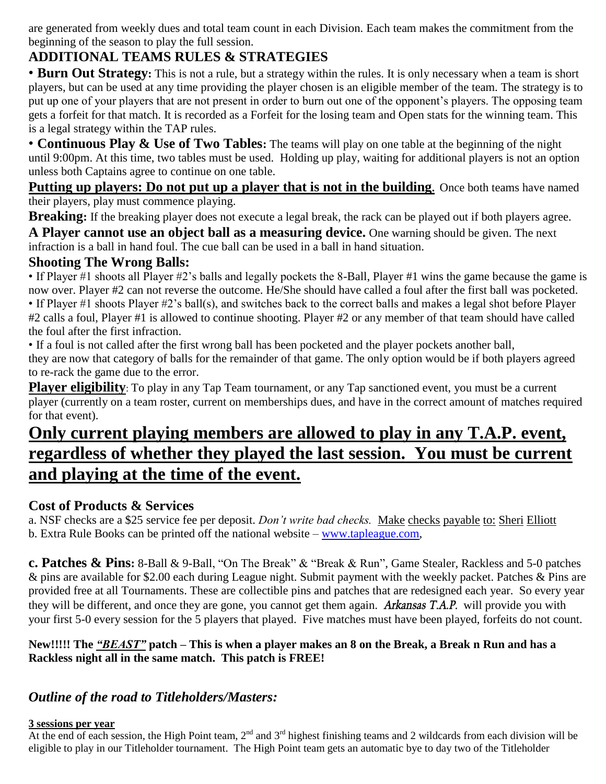are generated from weekly dues and total team count in each Division*.* Each team makes the commitment from the beginning of the season to play the full session.

## **ADDITIONAL TEAMS RULES & STRATEGIES**

• **Burn Out Strategy:** This is not a rule, but a strategy within the rules. It is only necessary when a team is short players, but can be used at any time providing the player chosen is an eligible member of the team. The strategy is to put up one of your players that are not present in order to burn out one of the opponent's players. The opposing team gets a forfeit for that match. It is recorded as a Forfeit for the losing team and Open stats for the winning team. This is a legal strategy within the TAP rules.

• **Continuous Play & Use of Two Tables:** The teams will play on one table at the beginning of the night until 9:00pm. At this time, two tables must be used. Holding up play, waiting for additional players is not an option unless both Captains agree to continue on one table.

**Putting up players: Do not put up a player that is not in the building.** Once both teams have named their players, play must commence playing.

**Breaking:** If the breaking player does not execute a legal break, the rack can be played out if both players agree.

**A Player cannot use an object ball as a measuring device.** One warning should be given. The next infraction is a ball in hand foul. The cue ball can be used in a ball in hand situation.

#### **Shooting The Wrong Balls:**

• If Player #1 shoots all Player #2's balls and legally pockets the 8-Ball, Player #1 wins the game because the game is now over. Player #2 can not reverse the outcome. He/She should have called a foul after the first ball was pocketed. • If Player #1 shoots Player #2's ball(s), and switches back to the correct balls and makes a legal shot before Player #2 calls a foul, Player #1 is allowed to continue shooting. Player #2 or any member of that team should have called

the foul after the first infraction. • If a foul is not called after the first wrong ball has been pocketed and the player pockets another ball,

they are now that category of balls for the remainder of that game. The only option would be if both players agreed to re-rack the game due to the error.

**Player eligibility**: To play in any Tap Team tournament, or any Tap sanctioned event, you must be a current player (currently on a team roster, current on memberships dues, and have in the correct amount of matches required for that event).

## **Only current playing members are allowed to play in any T.A.P. event, regardless of whether they played the last session. You must be current and playing at the time of the event.**

## **Cost of Products & Services**

a. NSF checks are a \$25 service fee per deposit. *Don't write bad checks.* Make checks payable to: Sheri Elliott b. Extra Rule Books can be printed off the national website – [www.tapleague.com,](http://www.tapleague.com/)

**c. Patches & Pins:** 8-Ball & 9-Ball, "On The Break" & "Break & Run", Game Stealer, Rackless and 5-0 patches & pins are available for \$2.00 each during League night. Submit payment with the weekly packet. Patches & Pins are provided free at all Tournaments. These are collectible pins and patches that are redesigned each year. So every year they will be different, and once they are gone, you cannot get them again. *Arkansas T.A.P.* will provide you with your first 5-0 every session for the 5 players that played. Five matches must have been played, forfeits do not count.

#### **New!!!!! The** *"BEAST"* **patch – This is when a player makes an 8 on the Break, a Break n Run and has a Rackless night all in the same match. This patch is FREE!**

## *Outline of the road to Titleholders/Masters:*

## **3 sessions per year**

At the end of each session, the High Point team,  $2^{nd}$  and  $3^{rd}$  highest finishing teams and 2 wildcards from each division will be eligible to play in our Titleholder tournament. The High Point team gets an automatic bye to day two of the Titleholder